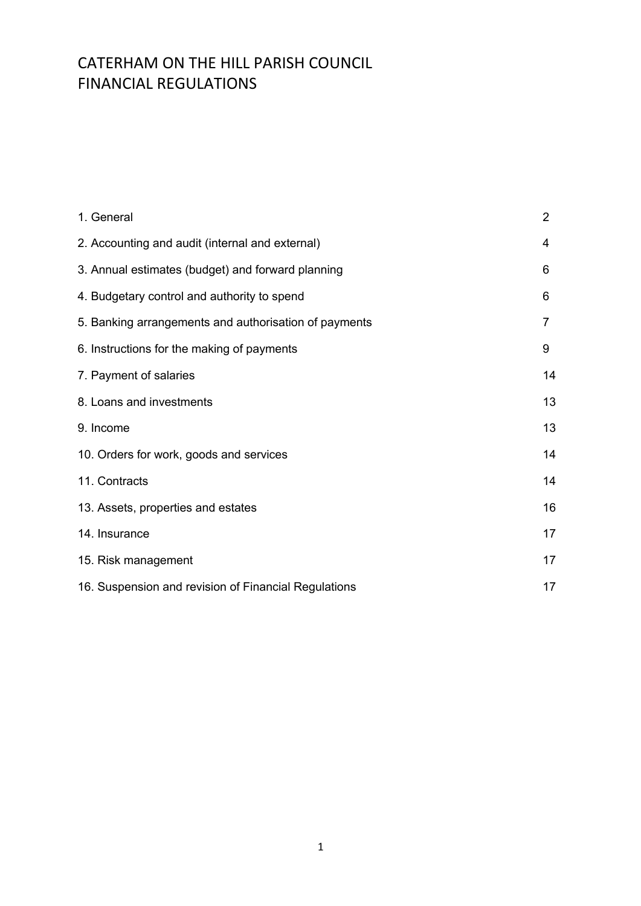| 1. General                                            | $\overline{2}$ |
|-------------------------------------------------------|----------------|
| 2. Accounting and audit (internal and external)       | 4              |
| 3. Annual estimates (budget) and forward planning     | 6              |
| 4. Budgetary control and authority to spend           | 6              |
| 5. Banking arrangements and authorisation of payments | 7              |
| 6. Instructions for the making of payments            | 9              |
| 7. Payment of salaries                                | 14             |
| 8. Loans and investments                              | 13             |
| 9. Income                                             | 13             |
| 10. Orders for work, goods and services               | 14             |
| 11. Contracts                                         | 14             |
| 13. Assets, properties and estates                    | 16             |
| 14. Insurance                                         | 17             |
| 15. Risk management                                   | 17             |
| 16. Suspension and revision of Financial Regulations  | 17             |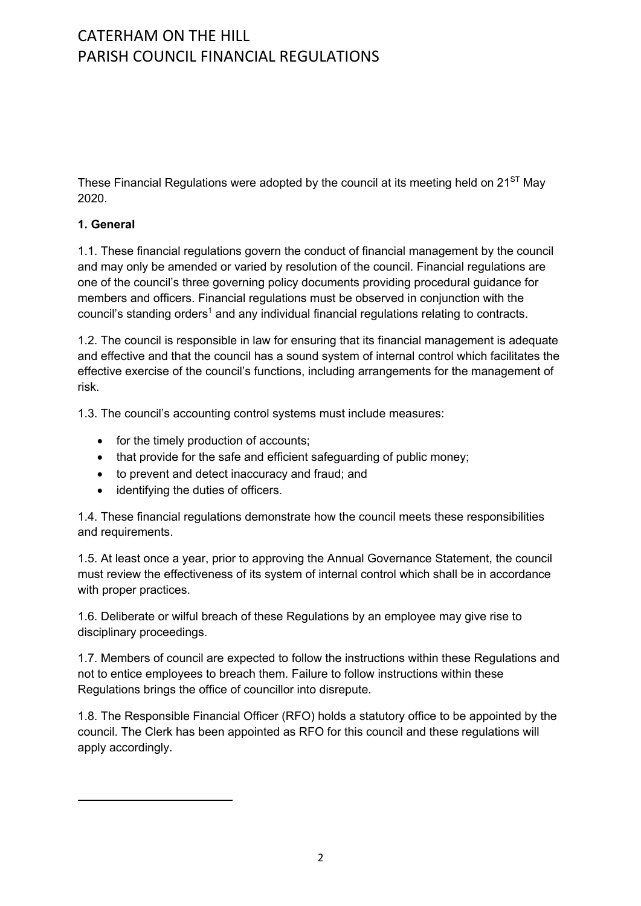These Financial Regulations were adopted by the council at its meeting held on  $21<sup>ST</sup>$  May 2020.

### **1. General**

1.1. These financial regulations govern the conduct of financial management by the council and may only be amended or varied by resolution of the council. Financial regulations are one of the council's three governing policy documents providing procedural guidance for members and officers. Financial regulations must be observed in conjunction with the council's standing orders<sup>1</sup> and any individual financial regulations relating to contracts.

1.2. The council is responsible in law for ensuring that its financial management is adequate and effective and that the council has a sound system of internal control which facilitates the effective exercise of the council's functions, including arrangements for the management of risk.

1.3. The council's accounting control systems must include measures:

- for the timely production of accounts;
- that provide for the safe and efficient safeguarding of public money;
- to prevent and detect inaccuracy and fraud; and
- identifying the duties of officers.

1.4. These financial regulations demonstrate how the council meets these responsibilities and requirements.

1.5. At least once a year, prior to approving the Annual Governance Statement, the council must review the effectiveness of its system of internal control which shall be in accordance with proper practices.

1.6. Deliberate or wilful breach of these Regulations by an employee may give rise to disciplinary proceedings.

1.7. Members of council are expected to follow the instructions within these Regulations and not to entice employees to breach them. Failure to follow instructions within these Regulations brings the office of councillor into disrepute.

1.8. The Responsible Financial Officer (RFO) holds a statutory office to be appointed by the council. The Clerk has been appointed as RFO for this council and these regulations will apply accordingly.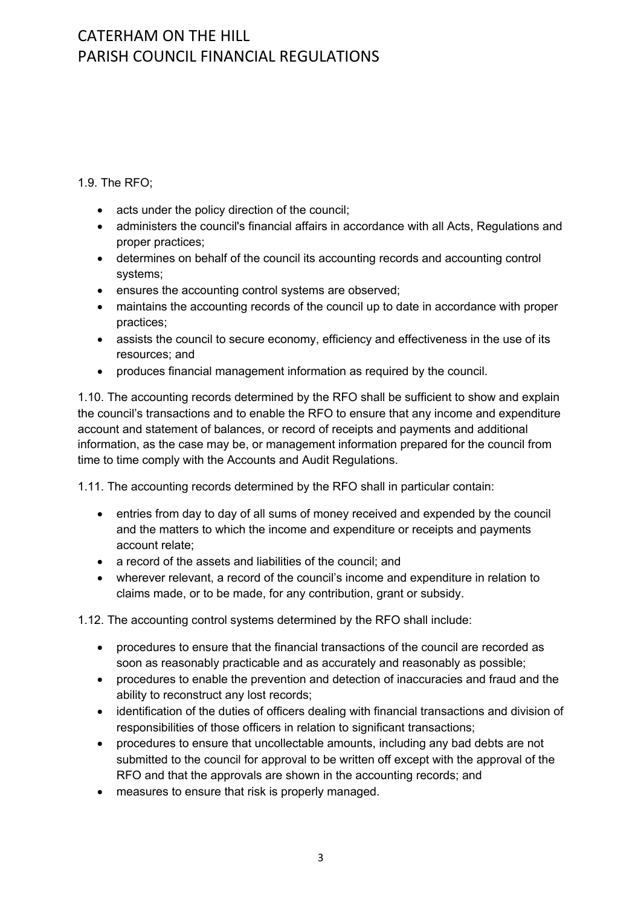1.9. The RFO;

- acts under the policy direction of the council;
- administers the council's financial affairs in accordance with all Acts, Regulations and proper practices;
- determines on behalf of the council its accounting records and accounting control systems;
- ensures the accounting control systems are observed;
- maintains the accounting records of the council up to date in accordance with proper practices;
- assists the council to secure economy, efficiency and effectiveness in the use of its resources; and
- produces financial management information as required by the council.

1.10. The accounting records determined by the RFO shall be sufficient to show and explain the council's transactions and to enable the RFO to ensure that any income and expenditure account and statement of balances, or record of receipts and payments and additional information, as the case may be, or management information prepared for the council from time to time comply with the Accounts and Audit Regulations.

1.11. The accounting records determined by the RFO shall in particular contain:

- entries from day to day of all sums of money received and expended by the council and the matters to which the income and expenditure or receipts and payments account relate;
- a record of the assets and liabilities of the council: and
- wherever relevant, a record of the council's income and expenditure in relation to claims made, or to be made, for any contribution, grant or subsidy.

1.12. The accounting control systems determined by the RFO shall include:

- procedures to ensure that the financial transactions of the council are recorded as soon as reasonably practicable and as accurately and reasonably as possible;
- procedures to enable the prevention and detection of inaccuracies and fraud and the ability to reconstruct any lost records;
- identification of the duties of officers dealing with financial transactions and division of responsibilities of those officers in relation to significant transactions;
- procedures to ensure that uncollectable amounts, including any bad debts are not submitted to the council for approval to be written off except with the approval of the RFO and that the approvals are shown in the accounting records; and
- measures to ensure that risk is properly managed.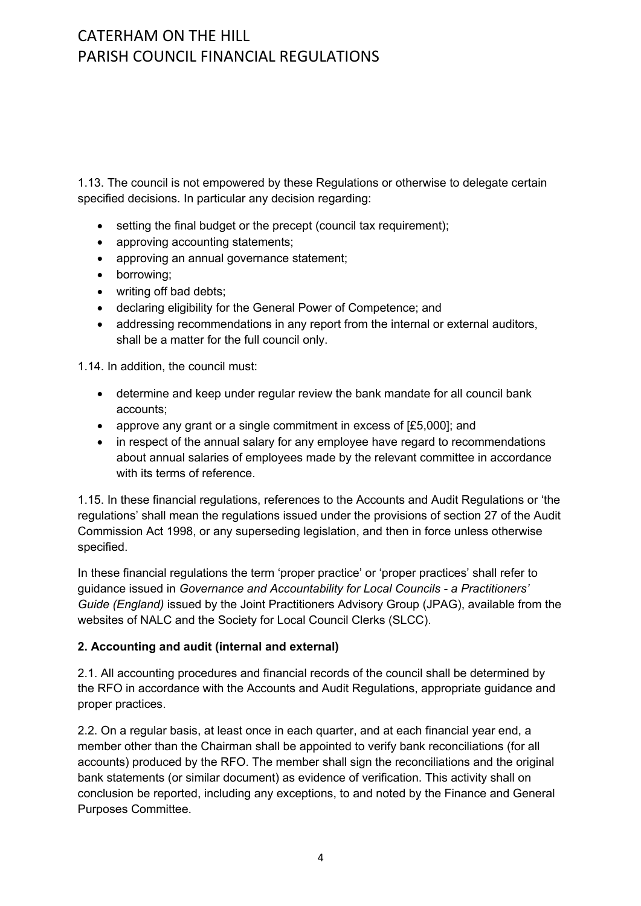1.13. The council is not empowered by these Regulations or otherwise to delegate certain specified decisions. In particular any decision regarding:

- setting the final budget or the precept (council tax requirement);
- approving accounting statements;
- approving an annual governance statement:
- borrowing;
- writing off bad debts;
- declaring eligibility for the General Power of Competence; and
- addressing recommendations in any report from the internal or external auditors, shall be a matter for the full council only.

1.14. In addition, the council must:

- determine and keep under regular review the bank mandate for all council bank accounts;
- approve any grant or a single commitment in excess of [£5,000]; and
- in respect of the annual salary for any employee have regard to recommendations about annual salaries of employees made by the relevant committee in accordance with its terms of reference.

1.15. In these financial regulations, references to the Accounts and Audit Regulations or 'the regulations' shall mean the regulations issued under the provisions of section 27 of the Audit Commission Act 1998, or any superseding legislation, and then in force unless otherwise specified.

In these financial regulations the term 'proper practice' or 'proper practices' shall refer to guidance issued in *Governance and Accountability for Local Councils - a Practitioners' Guide (England)* issued by the Joint Practitioners Advisory Group (JPAG), available from the websites of NALC and the Society for Local Council Clerks (SLCC).

#### **2. Accounting and audit (internal and external)**

2.1. All accounting procedures and financial records of the council shall be determined by the RFO in accordance with the Accounts and Audit Regulations, appropriate guidance and proper practices.

2.2. On a regular basis, at least once in each quarter, and at each financial year end, a member other than the Chairman shall be appointed to verify bank reconciliations (for all accounts) produced by the RFO. The member shall sign the reconciliations and the original bank statements (or similar document) as evidence of verification. This activity shall on conclusion be reported, including any exceptions, to and noted by the Finance and General Purposes Committee.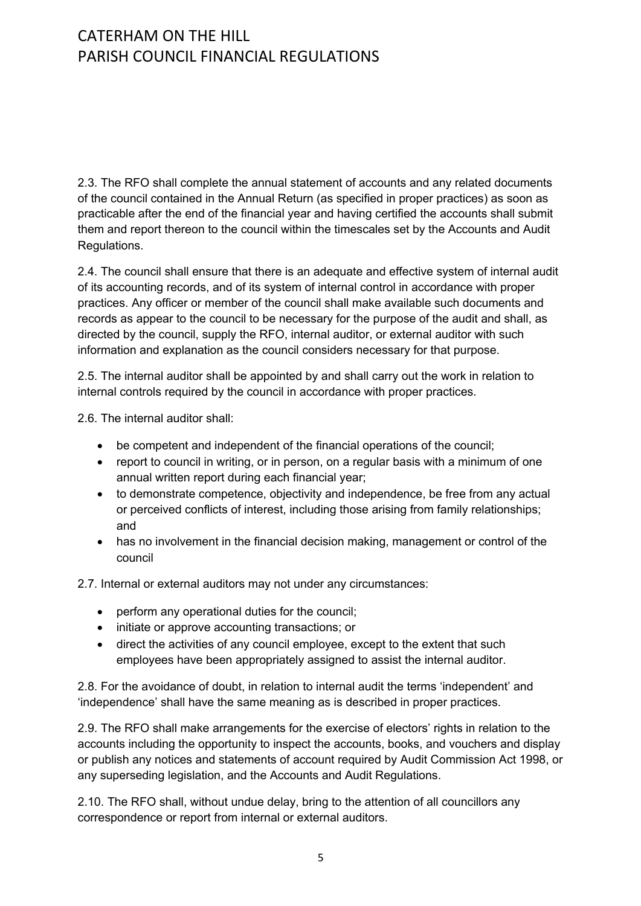2.3. The RFO shall complete the annual statement of accounts and any related documents of the council contained in the Annual Return (as specified in proper practices) as soon as practicable after the end of the financial year and having certified the accounts shall submit them and report thereon to the council within the timescales set by the Accounts and Audit Regulations.

2.4. The council shall ensure that there is an adequate and effective system of internal audit of its accounting records, and of its system of internal control in accordance with proper practices. Any officer or member of the council shall make available such documents and records as appear to the council to be necessary for the purpose of the audit and shall, as directed by the council, supply the RFO, internal auditor, or external auditor with such information and explanation as the council considers necessary for that purpose.

2.5. The internal auditor shall be appointed by and shall carry out the work in relation to internal controls required by the council in accordance with proper practices.

2.6. The internal auditor shall:

- be competent and independent of the financial operations of the council;
- report to council in writing, or in person, on a regular basis with a minimum of one annual written report during each financial year;
- to demonstrate competence, objectivity and independence, be free from any actual or perceived conflicts of interest, including those arising from family relationships; and
- has no involvement in the financial decision making, management or control of the council

2.7. Internal or external auditors may not under any circumstances:

- perform any operational duties for the council;
- initiate or approve accounting transactions; or
- direct the activities of any council employee, except to the extent that such employees have been appropriately assigned to assist the internal auditor.

2.8. For the avoidance of doubt, in relation to internal audit the terms 'independent' and 'independence' shall have the same meaning as is described in proper practices.

2.9. The RFO shall make arrangements for the exercise of electors' rights in relation to the accounts including the opportunity to inspect the accounts, books, and vouchers and display or publish any notices and statements of account required by Audit Commission Act 1998, or any superseding legislation, and the Accounts and Audit Regulations.

2.10. The RFO shall, without undue delay, bring to the attention of all councillors any correspondence or report from internal or external auditors.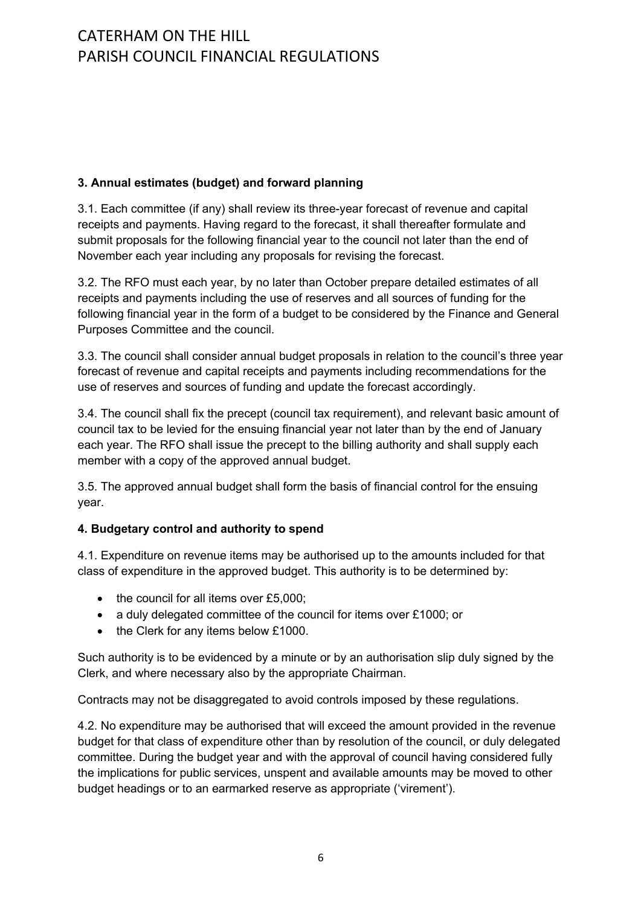### **3. Annual estimates (budget) and forward planning**

3.1. Each committee (if any) shall review its three-year forecast of revenue and capital receipts and payments. Having regard to the forecast, it shall thereafter formulate and submit proposals for the following financial year to the council not later than the end of November each year including any proposals for revising the forecast.

3.2. The RFO must each year, by no later than October prepare detailed estimates of all receipts and payments including the use of reserves and all sources of funding for the following financial year in the form of a budget to be considered by the Finance and General Purposes Committee and the council.

3.3. The council shall consider annual budget proposals in relation to the council's three year forecast of revenue and capital receipts and payments including recommendations for the use of reserves and sources of funding and update the forecast accordingly.

3.4. The council shall fix the precept (council tax requirement), and relevant basic amount of council tax to be levied for the ensuing financial year not later than by the end of January each year. The RFO shall issue the precept to the billing authority and shall supply each member with a copy of the approved annual budget.

3.5. The approved annual budget shall form the basis of financial control for the ensuing year.

### **4. Budgetary control and authority to spend**

4.1. Expenditure on revenue items may be authorised up to the amounts included for that class of expenditure in the approved budget. This authority is to be determined by:

- the council for all items over £5,000;
- a duly delegated committee of the council for items over £1000; or
- the Clerk for any items below £1000.

Such authority is to be evidenced by a minute or by an authorisation slip duly signed by the Clerk, and where necessary also by the appropriate Chairman.

Contracts may not be disaggregated to avoid controls imposed by these regulations.

4.2. No expenditure may be authorised that will exceed the amount provided in the revenue budget for that class of expenditure other than by resolution of the council, or duly delegated committee. During the budget year and with the approval of council having considered fully the implications for public services, unspent and available amounts may be moved to other budget headings or to an earmarked reserve as appropriate ('virement').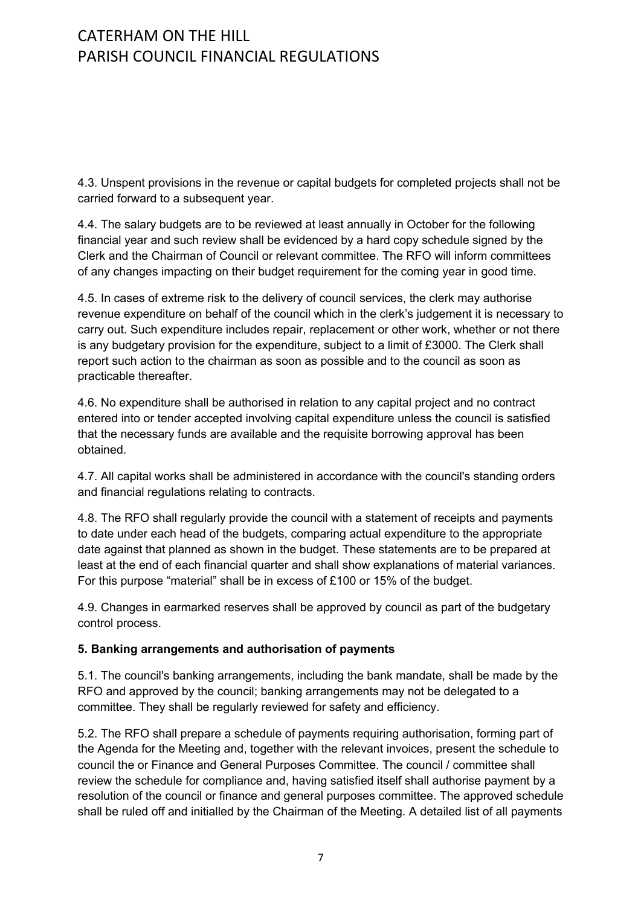4.3. Unspent provisions in the revenue or capital budgets for completed projects shall not be carried forward to a subsequent year.

4.4. The salary budgets are to be reviewed at least annually in October for the following financial year and such review shall be evidenced by a hard copy schedule signed by the Clerk and the Chairman of Council or relevant committee. The RFO will inform committees of any changes impacting on their budget requirement for the coming year in good time.

4.5. In cases of extreme risk to the delivery of council services, the clerk may authorise revenue expenditure on behalf of the council which in the clerk's judgement it is necessary to carry out. Such expenditure includes repair, replacement or other work, whether or not there is any budgetary provision for the expenditure, subject to a limit of £3000. The Clerk shall report such action to the chairman as soon as possible and to the council as soon as practicable thereafter.

4.6. No expenditure shall be authorised in relation to any capital project and no contract entered into or tender accepted involving capital expenditure unless the council is satisfied that the necessary funds are available and the requisite borrowing approval has been obtained.

4.7. All capital works shall be administered in accordance with the council's standing orders and financial regulations relating to contracts.

4.8. The RFO shall regularly provide the council with a statement of receipts and payments to date under each head of the budgets, comparing actual expenditure to the appropriate date against that planned as shown in the budget. These statements are to be prepared at least at the end of each financial quarter and shall show explanations of material variances. For this purpose "material" shall be in excess of £100 or 15% of the budget.

4.9. Changes in earmarked reserves shall be approved by council as part of the budgetary control process.

### **5. Banking arrangements and authorisation of payments**

5.1. The council's banking arrangements, including the bank mandate, shall be made by the RFO and approved by the council; banking arrangements may not be delegated to a committee. They shall be regularly reviewed for safety and efficiency.

5.2. The RFO shall prepare a schedule of payments requiring authorisation, forming part of the Agenda for the Meeting and, together with the relevant invoices, present the schedule to council the or Finance and General Purposes Committee. The council / committee shall review the schedule for compliance and, having satisfied itself shall authorise payment by a resolution of the council or finance and general purposes committee. The approved schedule shall be ruled off and initialled by the Chairman of the Meeting. A detailed list of all payments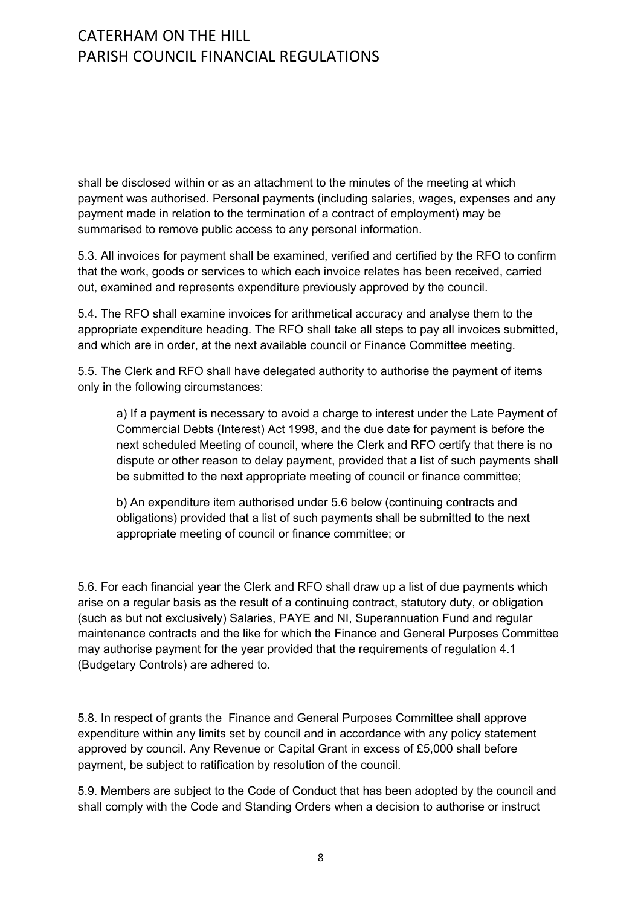shall be disclosed within or as an attachment to the minutes of the meeting at which payment was authorised. Personal payments (including salaries, wages, expenses and any payment made in relation to the termination of a contract of employment) may be summarised to remove public access to any personal information.

5.3. All invoices for payment shall be examined, verified and certified by the RFO to confirm that the work, goods or services to which each invoice relates has been received, carried out, examined and represents expenditure previously approved by the council.

5.4. The RFO shall examine invoices for arithmetical accuracy and analyse them to the appropriate expenditure heading. The RFO shall take all steps to pay all invoices submitted, and which are in order, at the next available council or Finance Committee meeting.

5.5. The Clerk and RFO shall have delegated authority to authorise the payment of items only in the following circumstances:

a) If a payment is necessary to avoid a charge to interest under the Late Payment of Commercial Debts (Interest) Act 1998, and the due date for payment is before the next scheduled Meeting of council, where the Clerk and RFO certify that there is no dispute or other reason to delay payment, provided that a list of such payments shall be submitted to the next appropriate meeting of council or finance committee;

b) An expenditure item authorised under 5.6 below (continuing contracts and obligations) provided that a list of such payments shall be submitted to the next appropriate meeting of council or finance committee; or

5.6. For each financial year the Clerk and RFO shall draw up a list of due payments which arise on a regular basis as the result of a continuing contract, statutory duty, or obligation (such as but not exclusively) Salaries, PAYE and NI, Superannuation Fund and regular maintenance contracts and the like for which the Finance and General Purposes Committee may authorise payment for the year provided that the requirements of regulation 4.1 (Budgetary Controls) are adhered to.

5.8. In respect of grants the Finance and General Purposes Committee shall approve expenditure within any limits set by council and in accordance with any policy statement approved by council. Any Revenue or Capital Grant in excess of £5,000 shall before payment, be subject to ratification by resolution of the council.

5.9. Members are subject to the Code of Conduct that has been adopted by the council and shall comply with the Code and Standing Orders when a decision to authorise or instruct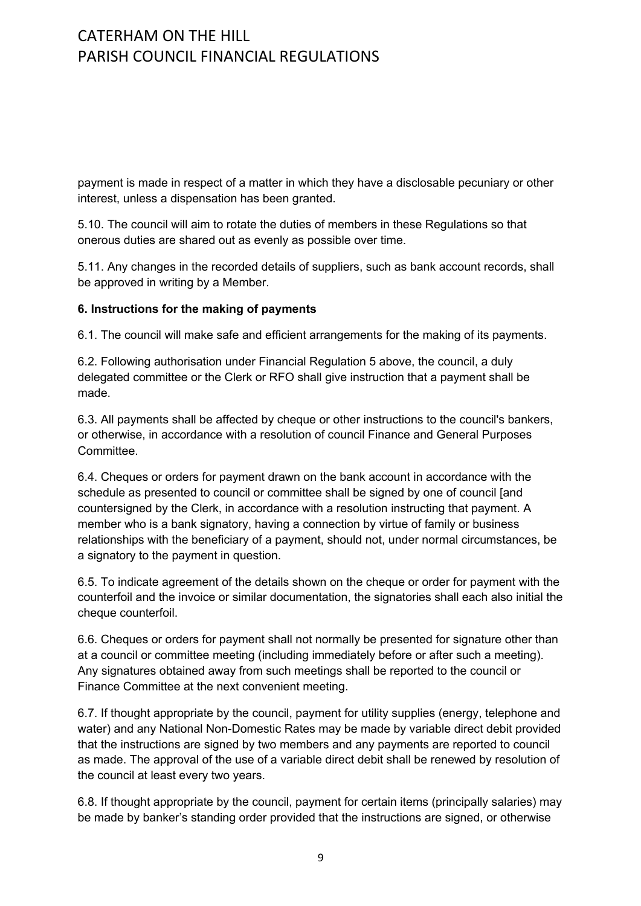payment is made in respect of a matter in which they have a disclosable pecuniary or other interest, unless a dispensation has been granted.

5.10. The council will aim to rotate the duties of members in these Regulations so that onerous duties are shared out as evenly as possible over time.

5.11. Any changes in the recorded details of suppliers, such as bank account records, shall be approved in writing by a Member.

### **6. Instructions for the making of payments**

6.1. The council will make safe and efficient arrangements for the making of its payments.

6.2. Following authorisation under Financial Regulation 5 above, the council, a duly delegated committee or the Clerk or RFO shall give instruction that a payment shall be made.

6.3. All payments shall be affected by cheque or other instructions to the council's bankers, or otherwise, in accordance with a resolution of council Finance and General Purposes **Committee.** 

6.4. Cheques or orders for payment drawn on the bank account in accordance with the schedule as presented to council or committee shall be signed by one of council [and countersigned by the Clerk, in accordance with a resolution instructing that payment. A member who is a bank signatory, having a connection by virtue of family or business relationships with the beneficiary of a payment, should not, under normal circumstances, be a signatory to the payment in question.

6.5. To indicate agreement of the details shown on the cheque or order for payment with the counterfoil and the invoice or similar documentation, the signatories shall each also initial the cheque counterfoil.

6.6. Cheques or orders for payment shall not normally be presented for signature other than at a council or committee meeting (including immediately before or after such a meeting). Any signatures obtained away from such meetings shall be reported to the council or Finance Committee at the next convenient meeting.

6.7. If thought appropriate by the council, payment for utility supplies (energy, telephone and water) and any National Non-Domestic Rates may be made by variable direct debit provided that the instructions are signed by two members and any payments are reported to council as made. The approval of the use of a variable direct debit shall be renewed by resolution of the council at least every two years.

6.8. If thought appropriate by the council, payment for certain items (principally salaries) may be made by banker's standing order provided that the instructions are signed, or otherwise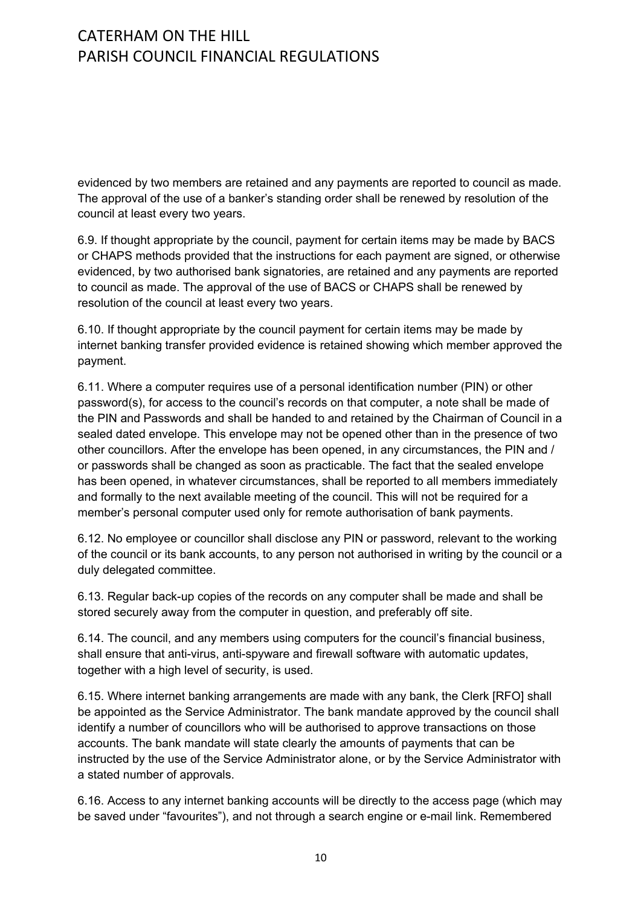evidenced by two members are retained and any payments are reported to council as made. The approval of the use of a banker's standing order shall be renewed by resolution of the council at least every two years.

6.9. If thought appropriate by the council, payment for certain items may be made by BACS or CHAPS methods provided that the instructions for each payment are signed, or otherwise evidenced, by two authorised bank signatories, are retained and any payments are reported to council as made. The approval of the use of BACS or CHAPS shall be renewed by resolution of the council at least every two years.

6.10. If thought appropriate by the council payment for certain items may be made by internet banking transfer provided evidence is retained showing which member approved the payment.

6.11. Where a computer requires use of a personal identification number (PIN) or other password(s), for access to the council's records on that computer, a note shall be made of the PIN and Passwords and shall be handed to and retained by the Chairman of Council in a sealed dated envelope. This envelope may not be opened other than in the presence of two other councillors. After the envelope has been opened, in any circumstances, the PIN and / or passwords shall be changed as soon as practicable. The fact that the sealed envelope has been opened, in whatever circumstances, shall be reported to all members immediately and formally to the next available meeting of the council. This will not be required for a member's personal computer used only for remote authorisation of bank payments.

6.12. No employee or councillor shall disclose any PIN or password, relevant to the working of the council or its bank accounts, to any person not authorised in writing by the council or a duly delegated committee.

6.13. Regular back-up copies of the records on any computer shall be made and shall be stored securely away from the computer in question, and preferably off site.

6.14. The council, and any members using computers for the council's financial business, shall ensure that anti-virus, anti-spyware and firewall software with automatic updates, together with a high level of security, is used.

6.15. Where internet banking arrangements are made with any bank, the Clerk [RFO] shall be appointed as the Service Administrator. The bank mandate approved by the council shall identify a number of councillors who will be authorised to approve transactions on those accounts. The bank mandate will state clearly the amounts of payments that can be instructed by the use of the Service Administrator alone, or by the Service Administrator with a stated number of approvals.

6.16. Access to any internet banking accounts will be directly to the access page (which may be saved under "favourites"), and not through a search engine or e-mail link. Remembered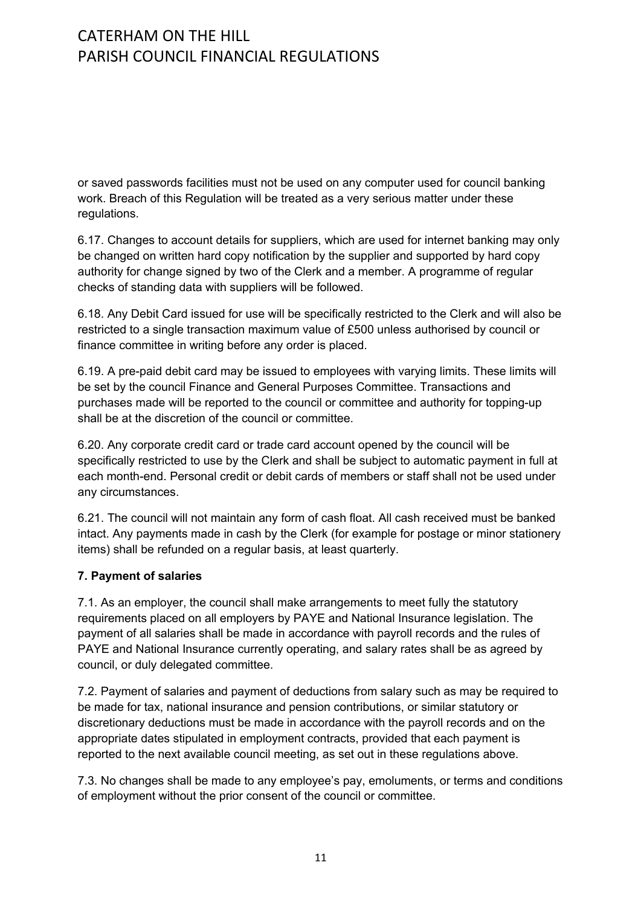or saved passwords facilities must not be used on any computer used for council banking work. Breach of this Regulation will be treated as a very serious matter under these regulations.

6.17. Changes to account details for suppliers, which are used for internet banking may only be changed on written hard copy notification by the supplier and supported by hard copy authority for change signed by two of the Clerk and a member. A programme of regular checks of standing data with suppliers will be followed.

6.18. Any Debit Card issued for use will be specifically restricted to the Clerk and will also be restricted to a single transaction maximum value of £500 unless authorised by council or finance committee in writing before any order is placed.

6.19. A pre-paid debit card may be issued to employees with varying limits. These limits will be set by the council Finance and General Purposes Committee. Transactions and purchases made will be reported to the council or committee and authority for topping-up shall be at the discretion of the council or committee.

6.20. Any corporate credit card or trade card account opened by the council will be specifically restricted to use by the Clerk and shall be subject to automatic payment in full at each month-end. Personal credit or debit cards of members or staff shall not be used under any circumstances.

6.21. The council will not maintain any form of cash float. All cash received must be banked intact. Any payments made in cash by the Clerk (for example for postage or minor stationery items) shall be refunded on a regular basis, at least quarterly.

### **7. Payment of salaries**

7.1. As an employer, the council shall make arrangements to meet fully the statutory requirements placed on all employers by PAYE and National Insurance legislation. The payment of all salaries shall be made in accordance with payroll records and the rules of PAYE and National Insurance currently operating, and salary rates shall be as agreed by council, or duly delegated committee.

7.2. Payment of salaries and payment of deductions from salary such as may be required to be made for tax, national insurance and pension contributions, or similar statutory or discretionary deductions must be made in accordance with the payroll records and on the appropriate dates stipulated in employment contracts, provided that each payment is reported to the next available council meeting, as set out in these regulations above.

7.3. No changes shall be made to any employee's pay, emoluments, or terms and conditions of employment without the prior consent of the council or committee.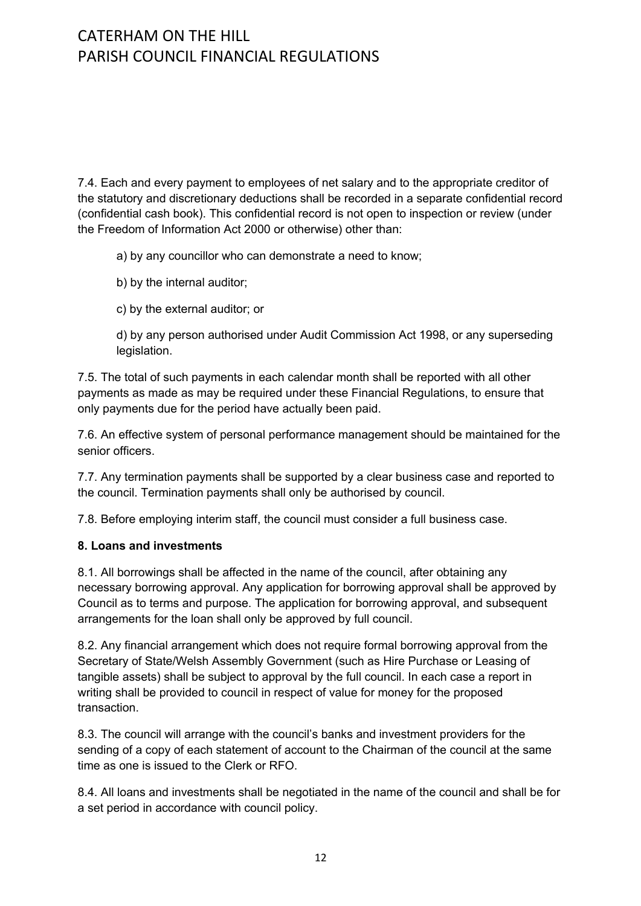7.4. Each and every payment to employees of net salary and to the appropriate creditor of the statutory and discretionary deductions shall be recorded in a separate confidential record (confidential cash book). This confidential record is not open to inspection or review (under the Freedom of Information Act 2000 or otherwise) other than:

a) by any councillor who can demonstrate a need to know;

- b) by the internal auditor;
- c) by the external auditor; or

d) by any person authorised under Audit Commission Act 1998, or any superseding legislation.

7.5. The total of such payments in each calendar month shall be reported with all other payments as made as may be required under these Financial Regulations, to ensure that only payments due for the period have actually been paid.

7.6. An effective system of personal performance management should be maintained for the senior officers.

7.7. Any termination payments shall be supported by a clear business case and reported to the council. Termination payments shall only be authorised by council.

7.8. Before employing interim staff, the council must consider a full business case.

#### **8. Loans and investments**

8.1. All borrowings shall be affected in the name of the council, after obtaining any necessary borrowing approval. Any application for borrowing approval shall be approved by Council as to terms and purpose. The application for borrowing approval, and subsequent arrangements for the loan shall only be approved by full council.

8.2. Any financial arrangement which does not require formal borrowing approval from the Secretary of State/Welsh Assembly Government (such as Hire Purchase or Leasing of tangible assets) shall be subject to approval by the full council. In each case a report in writing shall be provided to council in respect of value for money for the proposed transaction.

8.3. The council will arrange with the council's banks and investment providers for the sending of a copy of each statement of account to the Chairman of the council at the same time as one is issued to the Clerk or RFO.

8.4. All loans and investments shall be negotiated in the name of the council and shall be for a set period in accordance with council policy.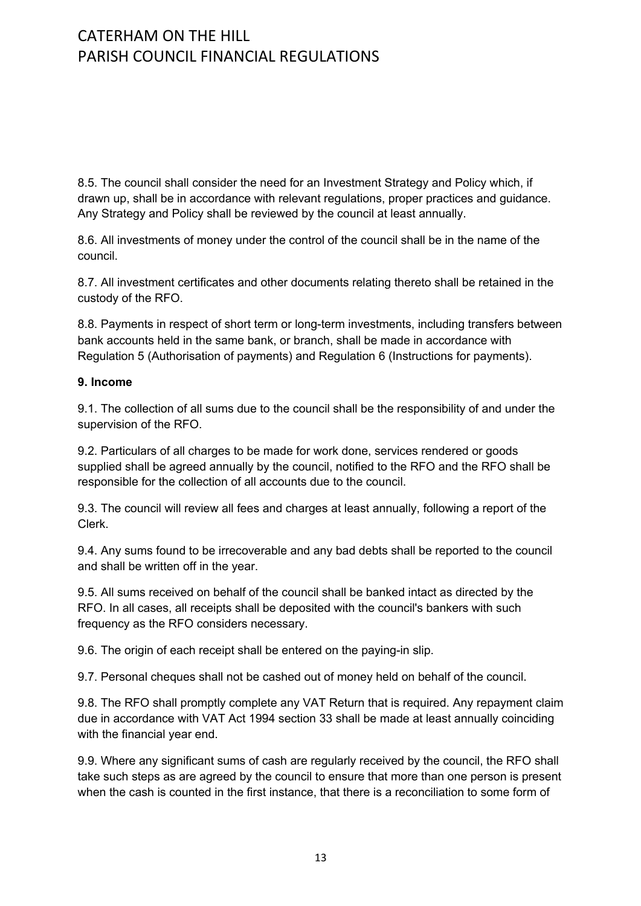8.5. The council shall consider the need for an Investment Strategy and Policy which, if drawn up, shall be in accordance with relevant regulations, proper practices and guidance. Any Strategy and Policy shall be reviewed by the council at least annually.

8.6. All investments of money under the control of the council shall be in the name of the council.

8.7. All investment certificates and other documents relating thereto shall be retained in the custody of the RFO.

8.8. Payments in respect of short term or long-term investments, including transfers between bank accounts held in the same bank, or branch, shall be made in accordance with Regulation 5 (Authorisation of payments) and Regulation 6 (Instructions for payments).

#### **9. Income**

9.1. The collection of all sums due to the council shall be the responsibility of and under the supervision of the RFO.

9.2. Particulars of all charges to be made for work done, services rendered or goods supplied shall be agreed annually by the council, notified to the RFO and the RFO shall be responsible for the collection of all accounts due to the council.

9.3. The council will review all fees and charges at least annually, following a report of the Clerk.

9.4. Any sums found to be irrecoverable and any bad debts shall be reported to the council and shall be written off in the year.

9.5. All sums received on behalf of the council shall be banked intact as directed by the RFO. In all cases, all receipts shall be deposited with the council's bankers with such frequency as the RFO considers necessary.

9.6. The origin of each receipt shall be entered on the paying-in slip.

9.7. Personal cheques shall not be cashed out of money held on behalf of the council.

9.8. The RFO shall promptly complete any VAT Return that is required. Any repayment claim due in accordance with VAT Act 1994 section 33 shall be made at least annually coinciding with the financial year end.

9.9. Where any significant sums of cash are regularly received by the council, the RFO shall take such steps as are agreed by the council to ensure that more than one person is present when the cash is counted in the first instance, that there is a reconciliation to some form of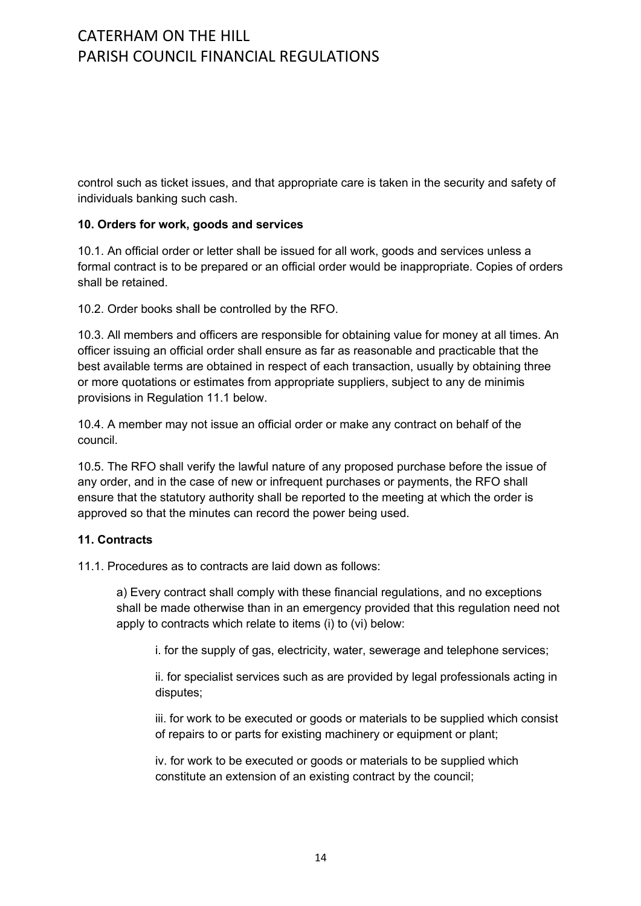control such as ticket issues, and that appropriate care is taken in the security and safety of individuals banking such cash.

#### **10. Orders for work, goods and services**

10.1. An official order or letter shall be issued for all work, goods and services unless a formal contract is to be prepared or an official order would be inappropriate. Copies of orders shall be retained.

10.2. Order books shall be controlled by the RFO.

10.3. All members and officers are responsible for obtaining value for money at all times. An officer issuing an official order shall ensure as far as reasonable and practicable that the best available terms are obtained in respect of each transaction, usually by obtaining three or more quotations or estimates from appropriate suppliers, subject to any de minimis provisions in Regulation 11.1 below.

10.4. A member may not issue an official order or make any contract on behalf of the council.

10.5. The RFO shall verify the lawful nature of any proposed purchase before the issue of any order, and in the case of new or infrequent purchases or payments, the RFO shall ensure that the statutory authority shall be reported to the meeting at which the order is approved so that the minutes can record the power being used.

#### **11. Contracts**

11.1. Procedures as to contracts are laid down as follows:

a) Every contract shall comply with these financial regulations, and no exceptions shall be made otherwise than in an emergency provided that this regulation need not apply to contracts which relate to items (i) to (vi) below:

i. for the supply of gas, electricity, water, sewerage and telephone services;

ii. for specialist services such as are provided by legal professionals acting in disputes;

iii. for work to be executed or goods or materials to be supplied which consist of repairs to or parts for existing machinery or equipment or plant;

iv. for work to be executed or goods or materials to be supplied which constitute an extension of an existing contract by the council;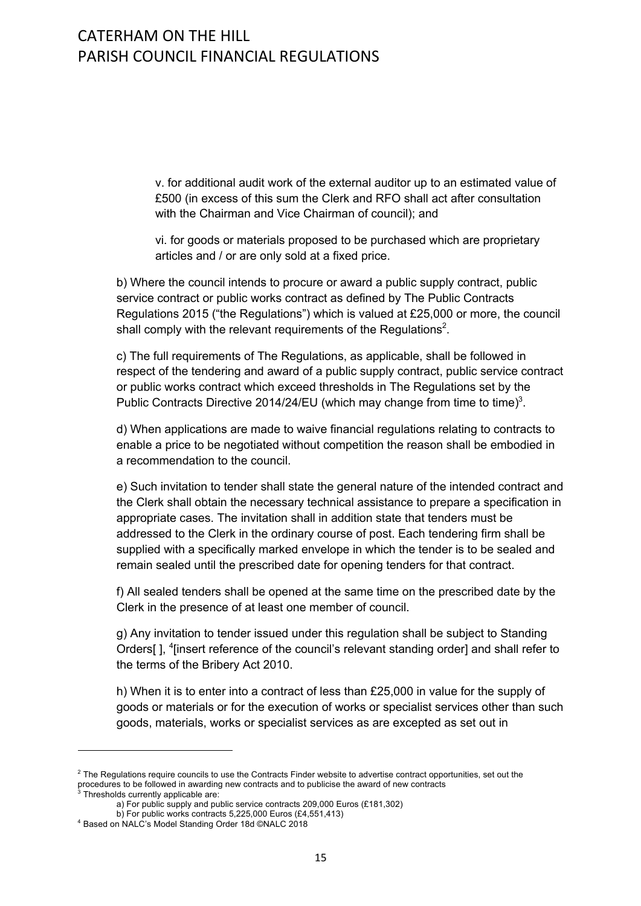v. for additional audit work of the external auditor up to an estimated value of £500 (in excess of this sum the Clerk and RFO shall act after consultation with the Chairman and Vice Chairman of council); and

vi. for goods or materials proposed to be purchased which are proprietary articles and / or are only sold at a fixed price.

b) Where the council intends to procure or award a public supply contract, public service contract or public works contract as defined by The Public Contracts Regulations 2015 ("the Regulations") which is valued at £25,000 or more, the council shall comply with the relevant requirements of the Regulations<sup>2</sup>.

c) The full requirements of The Regulations, as applicable, shall be followed in respect of the tendering and award of a public supply contract, public service contract or public works contract which exceed thresholds in The Regulations set by the Public Contracts Directive 2014/24/EU (which may change from time to time)<sup>3</sup>.

d) When applications are made to waive financial regulations relating to contracts to enable a price to be negotiated without competition the reason shall be embodied in a recommendation to the council.

e) Such invitation to tender shall state the general nature of the intended contract and the Clerk shall obtain the necessary technical assistance to prepare a specification in appropriate cases. The invitation shall in addition state that tenders must be addressed to the Clerk in the ordinary course of post. Each tendering firm shall be supplied with a specifically marked envelope in which the tender is to be sealed and remain sealed until the prescribed date for opening tenders for that contract.

f) All sealed tenders shall be opened at the same time on the prescribed date by the Clerk in the presence of at least one member of council.

g) Any invitation to tender issued under this regulation shall be subject to Standing Orders[], <sup>4</sup>[insert reference of the council's relevant standing order] and shall refer to the terms of the Bribery Act 2010.

h) When it is to enter into a contract of less than £25,000 in value for the supply of goods or materials or for the execution of works or specialist services other than such goods, materials, works or specialist services as are excepted as set out in

 $2$  The Regulations require councils to use the Contracts Finder website to advertise contract opportunities, set out the procedures to be followed in awarding new contracts and to publicise the award of new contracts  $3$  Thresholds currently applicable are:

a) For public supply and public service contracts 209,000 Euros (£181,302)

b) For public works contracts 5,225,000 Euros (£4,551,413)

<sup>4</sup> Based on NALC's Model Standing Order 18d ©NALC 2018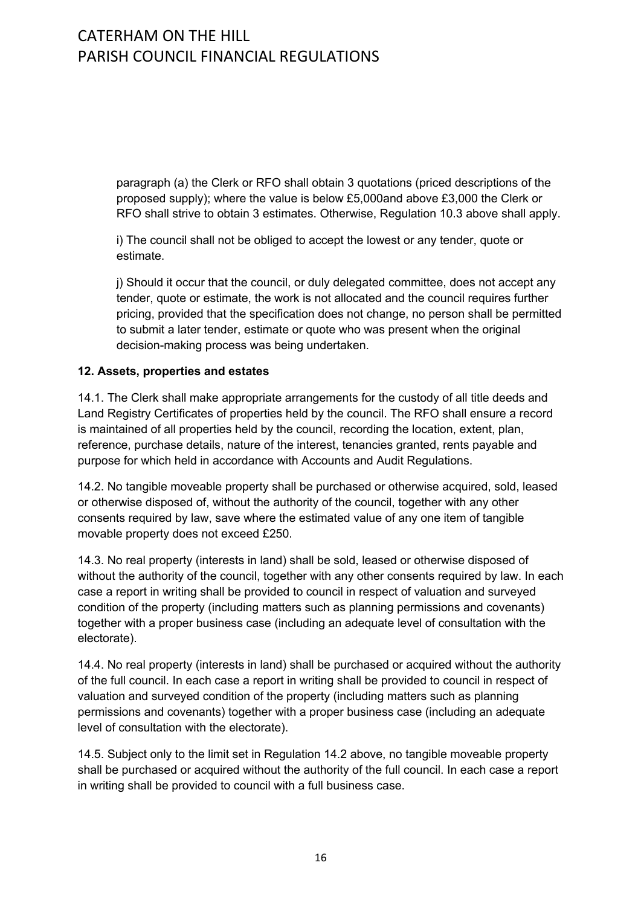paragraph (a) the Clerk or RFO shall obtain 3 quotations (priced descriptions of the proposed supply); where the value is below £5,000and above £3,000 the Clerk or RFO shall strive to obtain 3 estimates. Otherwise, Regulation 10.3 above shall apply.

i) The council shall not be obliged to accept the lowest or any tender, quote or estimate.

j) Should it occur that the council, or duly delegated committee, does not accept any tender, quote or estimate, the work is not allocated and the council requires further pricing, provided that the specification does not change, no person shall be permitted to submit a later tender, estimate or quote who was present when the original decision-making process was being undertaken.

### **12. Assets, properties and estates**

14.1. The Clerk shall make appropriate arrangements for the custody of all title deeds and Land Registry Certificates of properties held by the council. The RFO shall ensure a record is maintained of all properties held by the council, recording the location, extent, plan, reference, purchase details, nature of the interest, tenancies granted, rents payable and purpose for which held in accordance with Accounts and Audit Regulations.

14.2. No tangible moveable property shall be purchased or otherwise acquired, sold, leased or otherwise disposed of, without the authority of the council, together with any other consents required by law, save where the estimated value of any one item of tangible movable property does not exceed £250.

14.3. No real property (interests in land) shall be sold, leased or otherwise disposed of without the authority of the council, together with any other consents required by law. In each case a report in writing shall be provided to council in respect of valuation and surveyed condition of the property (including matters such as planning permissions and covenants) together with a proper business case (including an adequate level of consultation with the electorate).

14.4. No real property (interests in land) shall be purchased or acquired without the authority of the full council. In each case a report in writing shall be provided to council in respect of valuation and surveyed condition of the property (including matters such as planning permissions and covenants) together with a proper business case (including an adequate level of consultation with the electorate).

14.5. Subject only to the limit set in Regulation 14.2 above, no tangible moveable property shall be purchased or acquired without the authority of the full council. In each case a report in writing shall be provided to council with a full business case.